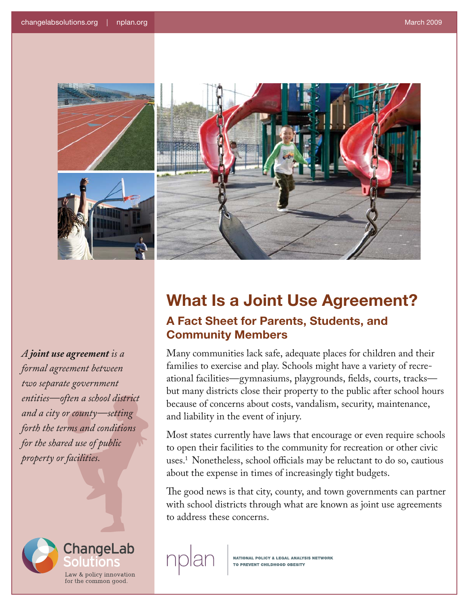



*A joint use agreement is a formal agreement between two separate government entities—often a school district and a city or county—setting forth the terms and conditions for the shared use of public property or facilities.*



## **What Is a Joint Use Agreement? A Fact Sheet for Parents, Students, and Community Members**

Many communities lack safe, adequate places for children and their families to exercise and play. Schools might have a variety of recreational facilities—gymnasiums, playgrounds, fields, courts, tracks but many districts close their property to the public after school hours because of concerns about costs, vandalism, security, maintenance, and liability in the event of injury.

Most states currently have laws that encourage or even require schools to open their facilities to the community for recreation or other civic uses.1 Nonetheless, school officials may be reluctant to do so, cautious about the expense in times of increasingly tight budgets.

The good news is that city, county, and town governments can partner with school districts through what are known as joint use agreements to address these concerns.

**NATIONAL POLICY & LEGAL ANALYSIS NETWORK** TO PREVENT CHILDHOOD OBESITY